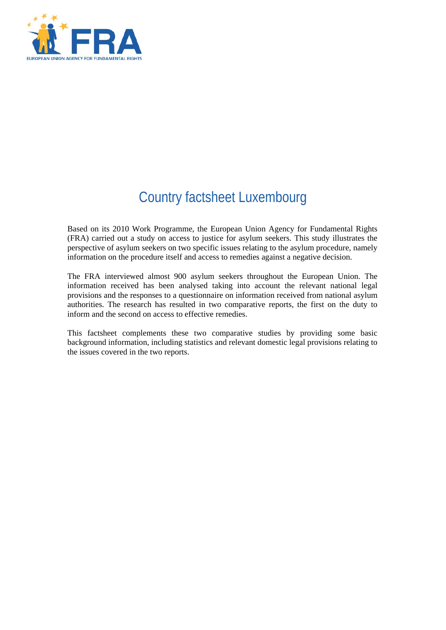

# Country factsheet Luxembourg

Based on its 2010 Work Programme, the European Union Agency for Fundamental Rights (FRA) carried out a study on access to justice for asylum seekers. This study illustrates the perspective of asylum seekers on two specific issues relating to the asylum procedure, namely information on the procedure itself and access to remedies against a negative decision.

The FRA interviewed almost 900 asylum seekers throughout the European Union. The information received has been analysed taking into account the relevant national legal provisions and the responses to a questionnaire on information received from national asylum authorities. The research has resulted in two comparative reports, the first on the duty to inform and the second on access to effective remedies.

This factsheet complements these two comparative studies by providing some basic background information, including statistics and relevant domestic legal provisions relating to the issues covered in the two reports.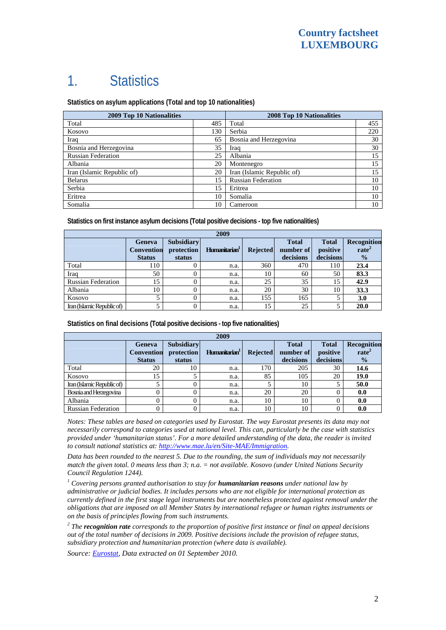### 1. Statistics

**Statistics on asylum applications (Total and top 10 nationalities)**

| <b>2009 Top 10 Nationalities</b> | 2008 Top 10 Nationalities |                            |     |
|----------------------------------|---------------------------|----------------------------|-----|
| Total                            | 485                       | Total                      | 455 |
| Kosovo                           | 130                       | Serbia                     | 220 |
| Iraq                             | 65                        | Bosnia and Herzegovina     | 30  |
| Bosnia and Herzegovina           | 35                        | Iraq                       | 30  |
| <b>Russian Federation</b>        | 25                        | Albania                    | 15  |
| Albania                          | 20                        | Montenegro                 | 15  |
| Iran (Islamic Republic of)       | 20                        | Iran (Islamic Republic of) | 15  |
| <b>Belarus</b>                   | 15                        | <b>Russian Federation</b>  | 10  |
| Serbia                           | 15                        | Eritrea                    | 10  |
| Eritrea                          | 10                        | Somalia                    | 10  |
| Somalia                          | 10                        | Cameroon                   | 10  |

**Statistics on first instance asylum decisions (Total positive decisions - top five nationalities)** 

| 2009                       |                                              |                                           |                           |                 |                                        |                                       |                                                          |
|----------------------------|----------------------------------------------|-------------------------------------------|---------------------------|-----------------|----------------------------------------|---------------------------------------|----------------------------------------------------------|
|                            | Geneva<br><b>Convention</b><br><b>Status</b> | <b>Subsidiary</b><br>protection<br>status | Humanitarian <sup>1</sup> | <b>Rejected</b> | <b>Total</b><br>number of<br>decisions | <b>Total</b><br>positive<br>decisions | <b>Recognition</b><br>rate <sup>2</sup><br>$\frac{1}{2}$ |
| Total                      | 110                                          |                                           | n.a.                      | 360             | 470                                    | 110                                   | 23.4                                                     |
| Iraq                       | 50                                           |                                           | n.a.                      | 10              | 60                                     | 50                                    | 83.3                                                     |
| <b>Russian Federation</b>  | 15                                           |                                           | n.a.                      | 25              | 35                                     | 15                                    | 42.9                                                     |
| Albania                    | 10                                           |                                           | n.a.                      | 20              | 30                                     | 10                                    | 33.3                                                     |
| Kosovo                     |                                              |                                           | n.a.                      | 155             | 165                                    |                                       | 3.0                                                      |
| Iran (Islamic Republic of) |                                              |                                           | n.a.                      | 15              | 25                                     |                                       | 20.0                                                     |

**Statistics on final decisions (Total positive decisions - top five nationalities)** 

| 2009                       |                   |                   |                           |                 |              |              |                    |
|----------------------------|-------------------|-------------------|---------------------------|-----------------|--------------|--------------|--------------------|
|                            | <b>Geneva</b>     | <b>Subsidiary</b> |                           |                 | <b>Total</b> | <b>Total</b> | <b>Recognition</b> |
|                            | <b>Convention</b> | protection        | Humanitarian <sup>1</sup> | <b>Rejected</b> | number of    | positive     | rate <sup>2</sup>  |
|                            | <b>Status</b>     | status            |                           |                 | decisions    | decisions    | $\frac{0}{2}$      |
| Total                      | 20                | 10                | n.a.                      | 170             | 205          | 30           | 14.6               |
| Kosovo                     | 15                |                   | n.a.                      | 85              | 105          | 20           | 19.0               |
| Iran (Islamic Republic of) |                   |                   | n.a.                      |                 | 10           |              | 50.0               |
| Bosnia and Herzegovina     |                   |                   | n.a.                      | 20              | 20           |              | 0.0                |
| Albania                    |                   |                   | n.a.                      | 10              | 10           |              | 0.0                |
| <b>Russian Federation</b>  |                   |                   | n.a.                      | 10              | 10           |              | 0.0                |

*Notes: These tables are based on categories used by Eurostat. The way Eurostat presents its data may not necessarily correspond to categories used at national level. This can, particularly be the case with statistics provided under 'humanitarian status'. For a more detailed understanding of the data, the reader is invited to consult national statistics at: [http://www.mae.lu/en/Site-MAE/Immigration.](http://www.mae.lu/en/Site-MAE/Immigration)* 

*Data has been rounded to the nearest 5. Due to the rounding, the sum of individuals may not necessarily match the given total. 0 means less than 3; n.a. = not available. Kosovo (under United Nations Security Council Regulation 1244).* 

<sup>1</sup> Covering persons granted authorisation to stay for **humanitarian reasons** under national law by *administrative or judicial bodies. It includes persons who are not eligible for international protection as currently defined in the first stage legal instruments but are nonetheless protected against removal under the obligations that are imposed on all Member States by international refugee or human rights instruments or on the basis of principles flowing from such instruments.* 

*2 The recognition rate corresponds to the proportion of positive first instance or final on appeal decisions out of the total number of decisions in 2009. Positive decisions include the provision of refugee status, subsidiary protection and humanitarian protection (where data is available).* 

*Source: [Eurostat](http://epp.eurostat.ec.europa.eu/), Data extracted on 01 September 2010.*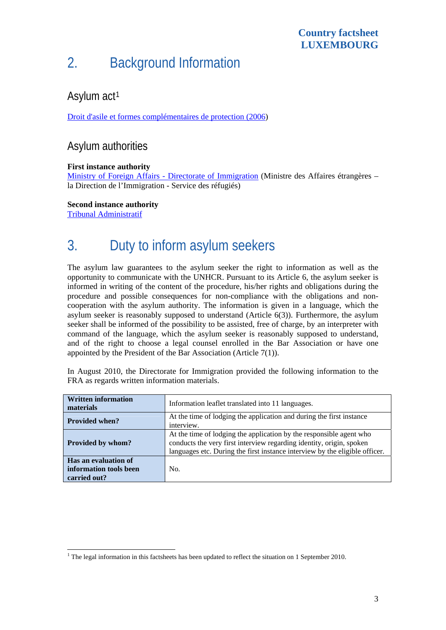### 2. Background Information

### Asylum act<sup>[1](#page-2-0)</sup>

[Droit d'asile et formes complémentaires de protection \(2006\)](http://www.legilux.public.lu/leg/a/archives/2006/0078/a078.pdf#page=2)

#### Asylum authorities

#### **First instance authority**

[Ministry of Foreign Affairs - Directorate of Immigration](http://www.mae.lu/en/Site-MAE/Immigration) (Ministre des Affaires étrangères – la Direction de l'Immigration - Service des réfugiés)

**Second instance authority** 

[Tribunal Administratif](http://www.jurad.etat.lu/trib.pdf) 

# 3. Duty to inform asylum seekers

The asylum law guarantees to the asylum seeker the right to information as well as the opportunity to communicate with the UNHCR. Pursuant to its Article 6, the asylum seeker is informed in writing of the content of the procedure, his/her rights and obligations during the procedure and possible consequences for non-compliance with the obligations and noncooperation with the asylum authority. The information is given in a language, which the asylum seeker is reasonably supposed to understand (Article 6(3)). Furthermore, the asylum seeker shall be informed of the possibility to be assisted, free of charge, by an interpreter with command of the language, which the asylum seeker is reasonably supposed to understand, and of the right to choose a legal counsel enrolled in the Bar Association or have one appointed by the President of the Bar Association (Article 7(1)).

In August 2010, the Directorate for Immigration provided the following information to the FRA as regards written information materials.

| <b>Written information</b><br>materials                        | Information leaflet translated into 11 languages.                                                                                                                                                                          |  |  |  |
|----------------------------------------------------------------|----------------------------------------------------------------------------------------------------------------------------------------------------------------------------------------------------------------------------|--|--|--|
| <b>Provided when?</b>                                          | At the time of lodging the application and during the first instance<br>interview.                                                                                                                                         |  |  |  |
| Provided by whom?                                              | At the time of lodging the application by the responsible agent who<br>conducts the very first interview regarding identity, origin, spoken<br>languages etc. During the first instance interview by the eligible officer. |  |  |  |
| Has an evaluation of<br>information tools been<br>carried out? | No.                                                                                                                                                                                                                        |  |  |  |

<span id="page-2-0"></span>The legal information in this factsheets has been updated to reflect the situation on 1 September 2010.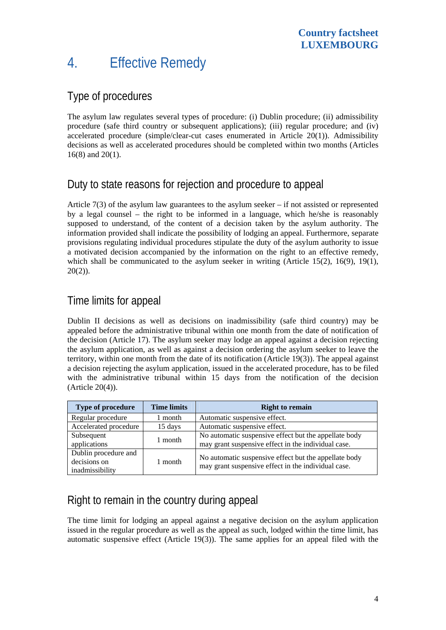### 4. Effective Remedy

#### Type of procedures

The asylum law regulates several types of procedure: (i) Dublin procedure; (ii) admissibility procedure (safe third country or subsequent applications); (iii) regular procedure; and (iv) accelerated procedure (simple/clear-cut cases enumerated in Article 20(1)). Admissibility decisions as well as accelerated procedures should be completed within two months (Articles 16(8) and 20(1).

#### Duty to state reasons for rejection and procedure to appeal

Article 7(3) of the asylum law guarantees to the asylum seeker – if not assisted or represented by a legal counsel – the right to be informed in a language, which he/she is reasonably supposed to understand, of the content of a decision taken by the asylum authority. The information provided shall indicate the possibility of lodging an appeal. Furthermore, separate provisions regulating individual procedures stipulate the duty of the asylum authority to issue a motivated decision accompanied by the information on the right to an effective remedy, which shall be communicated to the asylum seeker in writing (Article 15(2), 16(9), 19(1),  $20(2)$ ).

#### Time limits for appeal

Dublin II decisions as well as decisions on inadmissibility (safe third country) may be appealed before the administrative tribunal within one month from the date of notification of the decision (Article 17). The asylum seeker may lodge an appeal against a decision rejecting the asylum application, as well as against a decision ordering the asylum seeker to leave the territory, within one month from the date of its notification (Article 19(3)). The appeal against a decision rejecting the asylum application, issued in the accelerated procedure, has to be filed with the administrative tribunal within 15 days from the notification of the decision (Article 20(4)).

| Type of procedure                                       | <b>Time limits</b> | <b>Right to remain</b>                                                                                       |  |
|---------------------------------------------------------|--------------------|--------------------------------------------------------------------------------------------------------------|--|
| Regular procedure                                       | 1 month            | Automatic suspensive effect.                                                                                 |  |
| Accelerated procedure                                   | 15 days            | Automatic suspensive effect.                                                                                 |  |
| Subsequent<br>applications                              | 1 month            | No automatic suspensive effect but the appellate body<br>may grant suspensive effect in the individual case. |  |
| Dublin procedure and<br>decisions on<br>inadmissibility | 1 month            | No automatic suspensive effect but the appellate body<br>may grant suspensive effect in the individual case. |  |

#### Right to remain in the country during appeal

The time limit for lodging an appeal against a negative decision on the asylum application issued in the regular procedure as well as the appeal as such, lodged within the time limit, has automatic suspensive effect (Article 19(3)). The same applies for an appeal filed with the